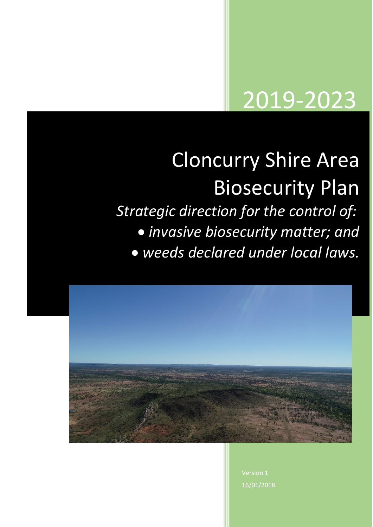# 2019-2023

# Cloncurry Shire Area Biosecurity Plan *Strategic direction for the control of:* • *invasive biosecurity matter; and*

• *weeds declared under local laws.*



Version 1 16/01/2018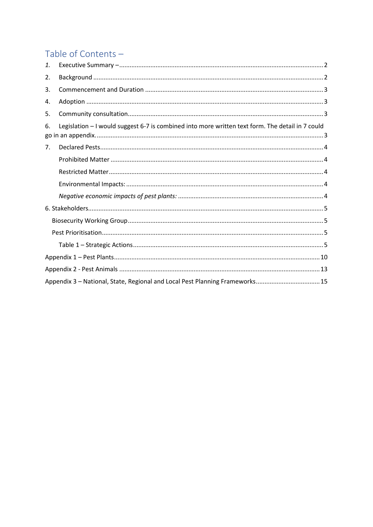## Table of Contents -

| 1. |                                                                                                  |
|----|--------------------------------------------------------------------------------------------------|
| 2. |                                                                                                  |
| 3. |                                                                                                  |
| 4. |                                                                                                  |
| 5. |                                                                                                  |
| 6. | Legislation - I would suggest 6-7 is combined into more written text form. The detail in 7 could |
| 7. |                                                                                                  |
|    |                                                                                                  |
|    |                                                                                                  |
|    |                                                                                                  |
|    |                                                                                                  |
|    |                                                                                                  |
|    |                                                                                                  |
|    |                                                                                                  |
|    |                                                                                                  |
|    |                                                                                                  |
|    |                                                                                                  |
|    | Appendix 3 - National, State, Regional and Local Pest Planning Frameworks 15                     |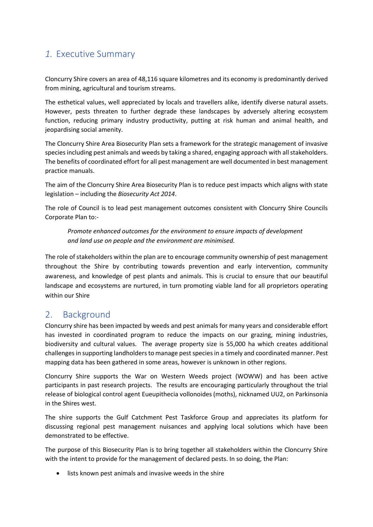## <span id="page-2-0"></span>*1.* Executive Summary

Cloncurry Shire covers an area of 48,116 square kilometres and its economy is predominantly derived from mining, agricultural and tourism streams.

The esthetical values, well appreciated by locals and travellers alike, identify diverse natural assets. However, pests threaten to further degrade these landscapes by adversely altering ecosystem function, reducing primary industry productivity, putting at risk human and animal health, and jeopardising social amenity.

The Cloncurry Shire Area Biosecurity Plan sets a framework for the strategic management of invasive species including pest animals and weeds by taking a shared, engaging approach with all stakeholders. The benefits of coordinated effort for all pest management are well documented in best management practice manuals.

The aim of the Cloncurry Shire Area Biosecurity Plan is to reduce pest impacts which aligns with state legislation – including the *Biosecurity Act 2014*.

The role of Council is to lead pest management outcomes consistent with Cloncurry Shire Councils Corporate Plan to:-

*Promote enhanced outcomes for the environment to ensure impacts of development and land use on people and the environment are minimised.*

The role of stakeholders within the plan are to encourage community ownership of pest management throughout the Shire by contributing towards prevention and early intervention, community awareness, and knowledge of pest plants and animals. This is crucial to ensure that our beautiful landscape and ecosystems are nurtured, in turn promoting viable land for all proprietors operating within our Shire

## <span id="page-2-1"></span>2. Background

Cloncurry shire has been impacted by weeds and pest animals for many years and considerable effort has invested in coordinated program to reduce the impacts on our grazing, mining industries, biodiversity and cultural values. The average property size is 55,000 ha which creates additional challenges in supporting landholders to manage pest species in a timely and coordinated manner. Pest mapping data has been gathered in some areas, however is unknown in other regions.

Cloncurry Shire supports the War on Western Weeds project (WOWW) and has been active participants in past research projects. The results are encouraging particularly throughout the trial release of biological control agent Eueupithecia vollonoides(moths), nicknamed UU2, on Parkinsonia in the Shires west.

The shire supports the Gulf Catchment Pest Taskforce Group and appreciates its platform for discussing regional pest management nuisances and applying local solutions which have been demonstrated to be effective.

The purpose of this Biosecurity Plan is to bring together all stakeholders within the Cloncurry Shire with the intent to provide for the management of declared pests. In so doing, the Plan:

• lists known pest animals and invasive weeds in the shire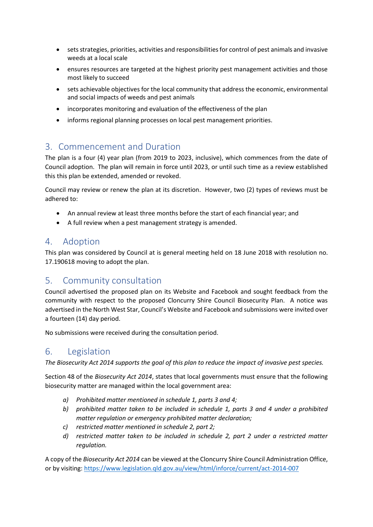- sets strategies, priorities, activities and responsibilities for control of pest animals and invasive weeds at a local scale
- ensures resources are targeted at the highest priority pest management activities and those most likely to succeed
- sets achievable objectives for the local community that address the economic, environmental and social impacts of weeds and pest animals
- incorporates monitoring and evaluation of the effectiveness of the plan
- informs regional planning processes on local pest management priorities.

### <span id="page-3-0"></span>3. Commencement and Duration

The plan is a four (4) year plan (from 2019 to 2023, inclusive), which commences from the date of Council adoption. The plan will remain in force until 2023, or until such time as a review established this this plan be extended, amended or revoked.

Council may review or renew the plan at its discretion. However, two (2) types of reviews must be adhered to:

- An annual review at least three months before the start of each financial year; and
- A full review when a pest management strategy is amended.

## <span id="page-3-1"></span>4. Adoption

This plan was considered by Council at is general meeting held on 18 June 2018 with resolution no. 17.190618 moving to adopt the plan.

## <span id="page-3-2"></span>5. Community consultation

Council advertised the proposed plan on its Website and Facebook and sought feedback from the community with respect to the proposed Cloncurry Shire Council Biosecurity Plan. A notice was advertised in the North West Star, Council's Website and Facebook and submissions were invited over a fourteen (14) day period.

No submissions were received during the consultation period.

## <span id="page-3-3"></span>6. Legislation

*The Biosecurity Act 2014 supports the goal of this plan to reduce the impact of invasive pest species.*

Section 48 of the *Biosecurity Act 2014*, states that local governments must ensure that the following biosecurity matter are managed within the local government area:

- *a) Prohibited matter mentioned in schedule 1, parts 3 and 4;*
- *b) prohibited matter taken to be included in schedule 1, parts 3 and 4 under a prohibited matter regulation or emergency prohibited matter declaration;*
- *c) restricted matter mentioned in schedule 2, part 2;*
- *d) restricted matter taken to be included in schedule 2, part 2 under a restricted matter regulation.*

A copy of the *Biosecurity Act 2014* can be viewed at the Cloncurry Shire Council Administration Office, or by visiting: <https://www.legislation.qld.gov.au/view/html/inforce/current/act-2014-007>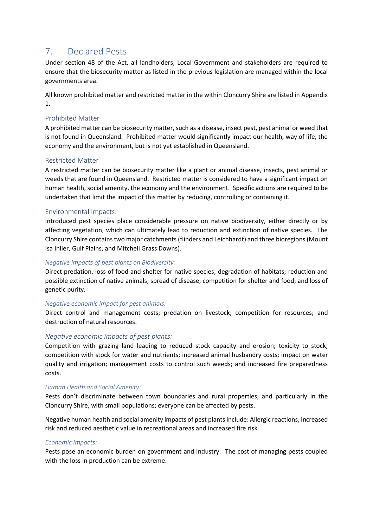## <span id="page-4-0"></span>7. Declared Pests

Under section 48 of the Act, all landholders, Local Government and stakeholders are required to ensure that the biosecurity matter as listed in the previous legislation are managed within the local governments area.

All known prohibited matter and restricted matter in the within Cloncurry Shire are listed in Appendix 1.

#### <span id="page-4-1"></span>Prohibited Matter

A prohibited matter can be biosecurity matter, such as a disease, insect pest, pest animal or weed that is not found in Queensland. Prohibited matter would significantly impact our health, way of life, the economy and the environment, but is not yet established in Queensland.

#### <span id="page-4-2"></span>Restricted Matter

A restricted matter can be biosecurity matter like a plant or animal disease, insects, pest animal or weeds that are found in Queensland. Restricted matter is considered to have a significant impact on human health, social amenity, the economy and the environment. Specific actions are required to be undertaken that limit the impact of this matter by reducing, controlling or containing it.

#### <span id="page-4-3"></span>Environmental Impacts:

Introduced pest species place considerable pressure on native biodiversity, either directly or by affecting vegetation, which can ultimately lead to reduction and extinction of native species. The Cloncurry Shire contains two major catchments (flinders and Leichhardt) and three bioregions (Mount Isa Inlier, Gulf Plains, and Mitchell Grass Downs).

#### *Negative impacts of pest plants on Biodiversity:*

Direct predation, loss of food and shelter for native species; degradation of habitats; reduction and possible extinction of native animals; spread of disease; competition for shelter and food; and loss of genetic purity.

#### *Negative economic impact for pest animals:*

Direct control and management costs; predation on livestock; competition for resources; and destruction of natural resources.

#### <span id="page-4-4"></span>*Negative economic impacts of pest plants:*

Competition with grazing land leading to reduced stock capacity and erosion; toxicity to stock; competition with stock for water and nutrients; increased animal husbandry costs; impact on water quality and irrigation; management costs to control such weeds; and increased fire preparedness costs.

#### *Human Health and Social Amenity:*

Pests don't discriminate between town boundaries and rural properties, and particularly in the Cloncurry Shire, with small populations; everyone can be affected by pests.

Negative human health and social amenity impacts of pest plants include: Allergic reactions, increased risk and reduced aesthetic value in recreational areas and increased fire risk.

#### *Economic Impacts:*

Pests pose an economic burden on government and industry. The cost of managing pests coupled with the loss in production can be extreme.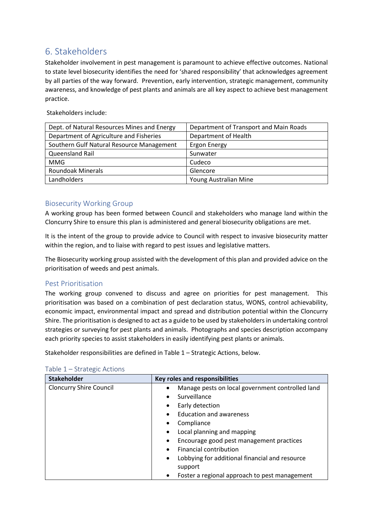## <span id="page-5-0"></span>6. Stakeholders

Stakeholder involvement in pest management is paramount to achieve effective outcomes. National to state level biosecurity identifies the need for 'shared responsibility' that acknowledges agreement by all parties of the way forward. Prevention, early intervention, strategic management, community awareness, and knowledge of pest plants and animals are all key aspect to achieve best management practice.

Stakeholders include:

| Dept. of Natural Resources Mines and Energy | Department of Transport and Main Roads |
|---------------------------------------------|----------------------------------------|
| Department of Agriculture and Fisheries     | Department of Health                   |
| Southern Gulf Natural Resource Management   | <b>Ergon Energy</b>                    |
| Queensland Rail                             | Sunwater                               |
| <b>MMG</b>                                  | Cudeco                                 |
| <b>Roundoak Minerals</b>                    | Glencore                               |
| Landholders                                 | Young Australian Mine                  |

#### <span id="page-5-1"></span>Biosecurity Working Group

A working group has been formed between Council and stakeholders who manage land within the Cloncurry Shire to ensure this plan is administered and general biosecurity obligations are met.

It is the intent of the group to provide advice to Council with respect to invasive biosecurity matter within the region, and to liaise with regard to pest issues and legislative matters.

The Biosecurity working group assisted with the development of this plan and provided advice on the prioritisation of weeds and pest animals.

#### <span id="page-5-2"></span>Pest Prioritisation

The working group convened to discuss and agree on priorities for pest management. This prioritisation was based on a combination of pest declaration status, WONS, control achievability, economic impact, environmental impact and spread and distribution potential within the Cloncurry Shire. The prioritisation is designed to act as a guide to be used by stakeholders in undertaking control strategies or surveying for pest plants and animals. Photographs and species description accompany each priority species to assist stakeholders in easily identifying pest plants or animals.

Stakeholder responsibilities are defined in Table 1 – Strategic Actions, below.

| <b>Stakeholder</b>             | Key roles and responsibilities                                         |
|--------------------------------|------------------------------------------------------------------------|
| <b>Cloncurry Shire Council</b> | Manage pests on local government controlled land<br>٠                  |
|                                | Surveillance<br>٠                                                      |
|                                | Early detection<br>٠                                                   |
|                                | <b>Education and awareness</b><br>٠                                    |
|                                | Compliance<br>٠                                                        |
|                                | Local planning and mapping<br>$\bullet$                                |
|                                | Encourage good pest management practices<br>٠                          |
|                                | <b>Financial contribution</b><br>$\bullet$                             |
|                                | Lobbying for additional financial and resource<br>$\bullet$<br>support |
|                                | Foster a regional approach to pest management<br>٠                     |

#### <span id="page-5-3"></span>Table 1 – Strategic Actions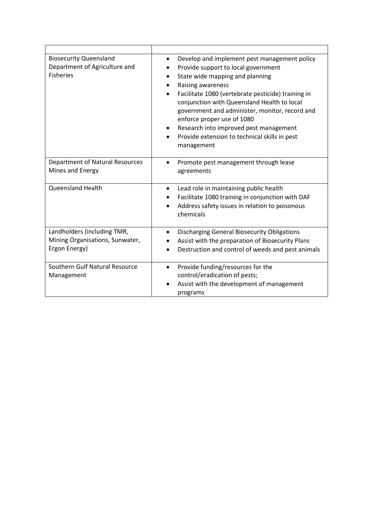| <b>Biosecurity Queensland</b><br>Department of Agriculture and<br><b>Fisheries</b> | Develop and implement pest management policy<br>٠<br>Provide support to local government<br>State wide mapping and planning<br>Raising awareness<br>Facilitate 1080 (vertebrate pesticide) training in<br>conjunction with Queensland Health to local<br>government and administer, monitor, record and<br>enforce proper use of 1080<br>Research into improved pest management<br>Provide extension to technical skills in pest<br>management |
|------------------------------------------------------------------------------------|------------------------------------------------------------------------------------------------------------------------------------------------------------------------------------------------------------------------------------------------------------------------------------------------------------------------------------------------------------------------------------------------------------------------------------------------|
| <b>Department of Natural Resources</b><br>Mines and Energy                         | Promote pest management through lease<br>$\bullet$<br>agreements                                                                                                                                                                                                                                                                                                                                                                               |
| <b>Queensland Health</b>                                                           | Lead role in maintaining public health<br>$\bullet$<br>Facilitate 1080 training in conjunction with DAF<br>Address safety issues in relation to poisonous<br>$\bullet$<br>chemicals                                                                                                                                                                                                                                                            |
| Landholders (including TMR,<br>Mining Organisations, Sunwater,<br>Ergon Energy)    | <b>Discharging General Biosecurity Obligations</b><br>٠<br>Assist with the preparation of Biosecurity Plans<br>Destruction and control of weeds and pest animals                                                                                                                                                                                                                                                                               |
| Southern Gulf Natural Resource<br>Management                                       | Provide funding/resources for the<br>$\bullet$<br>control/eradication of pests;<br>Assist with the development of management<br>programs                                                                                                                                                                                                                                                                                                       |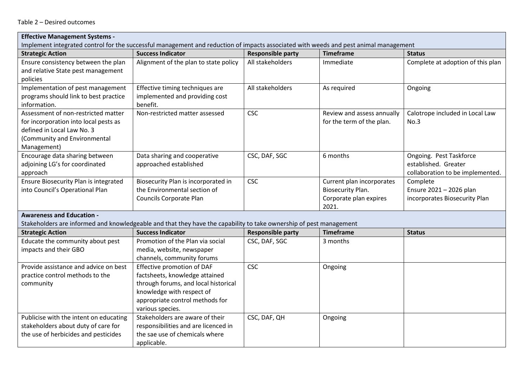| <b>Effective Management Systems -</b>                                                                                                |                                       |                          |                            |                                   |  |
|--------------------------------------------------------------------------------------------------------------------------------------|---------------------------------------|--------------------------|----------------------------|-----------------------------------|--|
| Implement integrated control for the successful management and reduction of impacts associated with weeds and pest animal management |                                       |                          |                            |                                   |  |
| <b>Strategic Action</b>                                                                                                              | <b>Success Indicator</b>              | <b>Responsible party</b> | <b>Timeframe</b>           | <b>Status</b>                     |  |
| Ensure consistency between the plan                                                                                                  | Alignment of the plan to state policy | All stakeholders         | Immediate                  | Complete at adoption of this plan |  |
| and relative State pest management                                                                                                   |                                       |                          |                            |                                   |  |
| policies                                                                                                                             |                                       |                          |                            |                                   |  |
| Implementation of pest management                                                                                                    | Effective timing techniques are       | All stakeholders         | As required                | Ongoing                           |  |
| programs should link to best practice                                                                                                | implemented and providing cost        |                          |                            |                                   |  |
| information.                                                                                                                         | benefit.                              |                          |                            |                                   |  |
| Assessment of non-restricted matter                                                                                                  | Non-restricted matter assessed        | <b>CSC</b>               | Review and assess annually | Calotrope included in Local Law   |  |
| for incorporation into local pests as                                                                                                |                                       |                          | for the term of the plan.  | No.3                              |  |
| defined in Local Law No. 3                                                                                                           |                                       |                          |                            |                                   |  |
| (Community and Environmental                                                                                                         |                                       |                          |                            |                                   |  |
| Management)                                                                                                                          |                                       |                          |                            |                                   |  |
| Encourage data sharing between                                                                                                       | Data sharing and cooperative          | CSC, DAF, SGC            | 6 months                   | Ongoing. Pest Taskforce           |  |
| adjoining LG's for coordinated                                                                                                       | approached established                |                          |                            | established. Greater              |  |
| approach                                                                                                                             |                                       |                          |                            | collaboration to be implemented.  |  |
| Ensure Biosecurity Plan is integrated                                                                                                | Biosecurity Plan is incorporated in   | <b>CSC</b>               | Current plan incorporates  | Complete                          |  |
| into Council's Operational Plan                                                                                                      | the Environmental section of          |                          | Biosecurity Plan.          | Ensure 2021 - 2026 plan           |  |
|                                                                                                                                      | Councils Corporate Plan               |                          | Corporate plan expires     | incorporates Biosecurity Plan     |  |
|                                                                                                                                      |                                       |                          | 2021.                      |                                   |  |
| <b>Awareness and Education -</b>                                                                                                     |                                       |                          |                            |                                   |  |
| Stakeholders are informed and knowledgeable and that they have the capability to take ownership of pest management                   |                                       |                          |                            |                                   |  |
| <b>Strategic Action</b>                                                                                                              | <b>Success Indicator</b>              | <b>Responsible party</b> | <b>Timeframe</b>           | <b>Status</b>                     |  |
| Educate the community about pest                                                                                                     | Promotion of the Plan via social      | CSC, DAF, SGC            | 3 months                   |                                   |  |
| impacts and their GBO                                                                                                                | media, website, newspaper             |                          |                            |                                   |  |
|                                                                                                                                      | channels, community forums            |                          |                            |                                   |  |
| Provide assistance and advice on best                                                                                                | Effective promotion of DAF            | <b>CSC</b>               | Ongoing                    |                                   |  |
| practice control methods to the                                                                                                      | factsheets, knowledge attained        |                          |                            |                                   |  |
| community                                                                                                                            | through forums, and local historical  |                          |                            |                                   |  |
|                                                                                                                                      | knowledge with respect of             |                          |                            |                                   |  |
|                                                                                                                                      | appropriate control methods for       |                          |                            |                                   |  |
|                                                                                                                                      | various species.                      |                          |                            |                                   |  |
| Publicise with the intent on educating                                                                                               | Stakeholders are aware of their       | CSC, DAF, QH             | Ongoing                    |                                   |  |
| stakeholders about duty of care for                                                                                                  | responsibilities and are licenced in  |                          |                            |                                   |  |
| the use of herbicides and pesticides                                                                                                 | the sae use of chemicals where        |                          |                            |                                   |  |
|                                                                                                                                      | applicable.                           |                          |                            |                                   |  |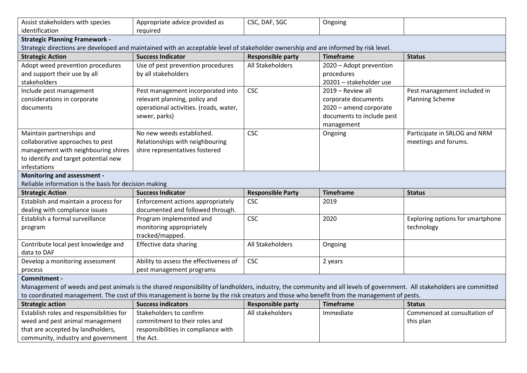| Assist stakeholders with species<br>identification                  | Appropriate advice provided as<br>required                                                                                                                             | CSC, DAF, SGC                                | Ongoing                   |                                  |  |
|---------------------------------------------------------------------|------------------------------------------------------------------------------------------------------------------------------------------------------------------------|----------------------------------------------|---------------------------|----------------------------------|--|
| <b>Strategic Planning Framework -</b>                               |                                                                                                                                                                        |                                              |                           |                                  |  |
|                                                                     | Strategic directions are developed and maintained with an acceptable level of stakeholder ownership and are informed by risk level.                                    |                                              |                           |                                  |  |
| <b>Strategic Action</b>                                             | <b>Success Indicator</b>                                                                                                                                               | <b>Responsible party</b>                     | <b>Timeframe</b>          | <b>Status</b>                    |  |
| Adopt weed prevention procedures                                    | Use of pest prevention procedures                                                                                                                                      | All Stakeholders                             | 2020 - Adopt prevention   |                                  |  |
| and support their use by all                                        | by all stakeholders                                                                                                                                                    |                                              | procedures                |                                  |  |
| stakeholders                                                        |                                                                                                                                                                        |                                              | 20201 - stakeholder use   |                                  |  |
| Include pest management                                             | Pest management incorporated into                                                                                                                                      | <b>CSC</b>                                   | 2019 - Review all         | Pest management included in      |  |
| considerations in corporate                                         | relevant planning, policy and                                                                                                                                          |                                              | corporate documents       | <b>Planning Scheme</b>           |  |
| documents                                                           | operational activities. (roads, water,                                                                                                                                 |                                              | 2020 - amend corporate    |                                  |  |
|                                                                     | sewer, parks)                                                                                                                                                          |                                              | documents to include pest |                                  |  |
|                                                                     |                                                                                                                                                                        |                                              | management                |                                  |  |
| Maintain partnerships and                                           | No new weeds established.                                                                                                                                              | <b>CSC</b>                                   | Ongoing                   | Participate in SRLOG and NRM     |  |
| collaborative approaches to pest                                    | Relationships with neighbouring                                                                                                                                        |                                              |                           | meetings and forums.             |  |
| management with neighbouring shires                                 | shire representatives fostered                                                                                                                                         |                                              |                           |                                  |  |
| to identify and target potential new                                |                                                                                                                                                                        |                                              |                           |                                  |  |
| infestations                                                        |                                                                                                                                                                        |                                              |                           |                                  |  |
| <b>Monitoring and assessment -</b>                                  |                                                                                                                                                                        |                                              |                           |                                  |  |
| Reliable information is the basis for decision making               |                                                                                                                                                                        |                                              |                           |                                  |  |
| <b>Strategic Action</b>                                             | <b>Success Indicator</b>                                                                                                                                               | <b>Responsible Party</b>                     | <b>Timeframe</b>          | <b>Status</b>                    |  |
|                                                                     |                                                                                                                                                                        |                                              |                           |                                  |  |
| Establish and maintain a process for                                | Enforcement actions appropriately                                                                                                                                      | <b>CSC</b>                                   | 2019                      |                                  |  |
| dealing with compliance issues                                      | documented and followed through.                                                                                                                                       |                                              |                           |                                  |  |
| Establish a formal surveillance                                     | Program implemented and                                                                                                                                                | <b>CSC</b>                                   | 2020                      | Exploring options for smartphone |  |
| program                                                             | monitoring appropriately                                                                                                                                               |                                              |                           | technology                       |  |
|                                                                     | tracked/mapped.                                                                                                                                                        |                                              |                           |                                  |  |
| Contribute local pest knowledge and                                 | Effective data sharing                                                                                                                                                 | All Stakeholders                             | Ongoing                   |                                  |  |
| data to DAF                                                         |                                                                                                                                                                        |                                              |                           |                                  |  |
| Develop a monitoring assessment                                     | Ability to assess the effectiveness of                                                                                                                                 | <b>CSC</b>                                   | 2 years                   |                                  |  |
| process                                                             | pest management programs                                                                                                                                               |                                              |                           |                                  |  |
| Commitment -                                                        |                                                                                                                                                                        |                                              |                           |                                  |  |
|                                                                     | Management of weeds and pest animals is the shared responsibility of landholders, industry, the community and all levels of government. All stakeholders are committed |                                              |                           |                                  |  |
|                                                                     | to coordinated management. The cost of this management is borne by the risk creators and those who benefit from the management of pests.<br><b>Success indicators</b>  |                                              | <b>Timeframe</b>          | <b>Status</b>                    |  |
| <b>Strategic action</b><br>Establish roles and responsibilities for | Stakeholders to confirm                                                                                                                                                | <b>Responsible party</b><br>All stakeholders | Immediate                 | Commenced at consultation of     |  |
| weed and pest animal management                                     | commitment to their roles and                                                                                                                                          |                                              |                           | this plan                        |  |
| that are accepted by landholders,                                   | responsibilities in compliance with                                                                                                                                    |                                              |                           |                                  |  |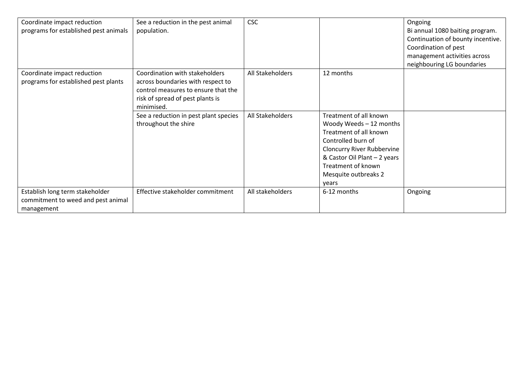| Coordinate impact reduction<br>programs for established pest animals                | See a reduction in the pest animal<br>population.                                                                                                            | <b>CSC</b>       |                                                                                                                                                                                                                               | Ongoing<br>Bi annual 1080 baiting program.<br>Continuation of bounty incentive.<br>Coordination of pest<br>management activities across<br>neighbouring LG boundaries |
|-------------------------------------------------------------------------------------|--------------------------------------------------------------------------------------------------------------------------------------------------------------|------------------|-------------------------------------------------------------------------------------------------------------------------------------------------------------------------------------------------------------------------------|-----------------------------------------------------------------------------------------------------------------------------------------------------------------------|
| Coordinate impact reduction<br>programs for established pest plants                 | Coordination with stakeholders<br>across boundaries with respect to<br>control measures to ensure that the<br>risk of spread of pest plants is<br>minimised. | All Stakeholders | 12 months                                                                                                                                                                                                                     |                                                                                                                                                                       |
|                                                                                     | See a reduction in pest plant species<br>throughout the shire                                                                                                | All Stakeholders | Treatment of all known<br>Woody Weeds - 12 months<br>Treatment of all known<br>Controlled burn of<br><b>Cloncurry River Rubbervine</b><br>& Castor Oil Plant - 2 years<br>Treatment of known<br>Mesquite outbreaks 2<br>years |                                                                                                                                                                       |
| Establish long term stakeholder<br>commitment to weed and pest animal<br>management | Effective stakeholder commitment                                                                                                                             | All stakeholders | 6-12 months                                                                                                                                                                                                                   | Ongoing                                                                                                                                                               |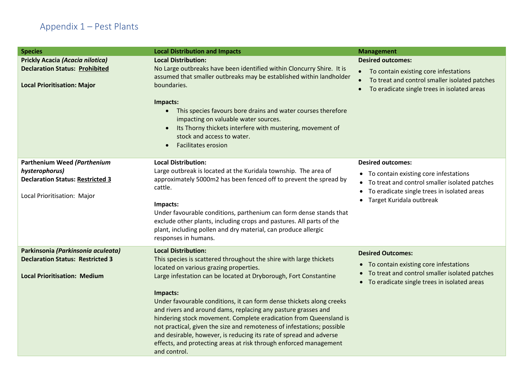# Appendix 1 – Pest Plants

<span id="page-10-0"></span>

| <b>Species</b>                                                              | <b>Local Distribution and Impacts</b>                                                                                                                                                                                                                               | <b>Management</b>                                                                                                                                                 |
|-----------------------------------------------------------------------------|---------------------------------------------------------------------------------------------------------------------------------------------------------------------------------------------------------------------------------------------------------------------|-------------------------------------------------------------------------------------------------------------------------------------------------------------------|
| <b>Prickly Acacia (Acacia nilotica)</b>                                     | <b>Local Distribution:</b>                                                                                                                                                                                                                                          | <b>Desired outcomes:</b>                                                                                                                                          |
| <b>Declaration Status: Prohibited</b><br><b>Local Prioritisation: Major</b> | No Large outbreaks have been identified within Cloncurry Shire. It is<br>assumed that smaller outbreaks may be established within landholder<br>boundaries.                                                                                                         | • To contain existing core infestations<br>To treat and control smaller isolated patches<br>$\bullet$<br>To eradicate single trees in isolated areas<br>$\bullet$ |
|                                                                             | Impacts:<br>This species favours bore drains and water courses therefore<br>$\bullet$<br>impacting on valuable water sources.<br>Its Thorny thickets interfere with mustering, movement of<br>$\bullet$<br>stock and access to water.<br><b>Facilitates erosion</b> |                                                                                                                                                                   |
| Parthenium Weed (Parthenium                                                 | <b>Local Distribution:</b>                                                                                                                                                                                                                                          | <b>Desired outcomes:</b>                                                                                                                                          |
| hysterophorus)<br><b>Declaration Status: Restricted 3</b>                   | Large outbreak is located at the Kuridala township. The area of<br>approximately 5000m2 has been fenced off to prevent the spread by<br>cattle.                                                                                                                     | • To contain existing core infestations<br>• To treat and control smaller isolated patches<br>To eradicate single trees in isolated areas<br>$\bullet$            |
| Local Prioritisation: Major                                                 | Impacts:<br>Under favourable conditions, parthenium can form dense stands that<br>exclude other plants, including crops and pastures. All parts of the<br>plant, including pollen and dry material, can produce allergic<br>responses in humans.                    | Target Kuridala outbreak                                                                                                                                          |
| Parkinsonia (Parkinsonia aculeata)                                          | <b>Local Distribution:</b>                                                                                                                                                                                                                                          | <b>Desired Outcomes:</b>                                                                                                                                          |
| <b>Declaration Status: Restricted 3</b>                                     | This species is scattered throughout the shire with large thickets<br>located on various grazing properties.                                                                                                                                                        | • To contain existing core infestations<br>To treat and control smaller isolated patches<br>$\bullet$                                                             |
| <b>Local Prioritisation: Medium</b>                                         | Large infestation can be located at Dryborough, Fort Constantine                                                                                                                                                                                                    | • To eradicate single trees in isolated areas                                                                                                                     |
|                                                                             | Impacts:                                                                                                                                                                                                                                                            |                                                                                                                                                                   |
|                                                                             | Under favourable conditions, it can form dense thickets along creeks<br>and rivers and around dams, replacing any pasture grasses and                                                                                                                               |                                                                                                                                                                   |
|                                                                             | hindering stock movement. Complete eradication from Queensland is                                                                                                                                                                                                   |                                                                                                                                                                   |
|                                                                             | not practical, given the size and remoteness of infestations; possible                                                                                                                                                                                              |                                                                                                                                                                   |
|                                                                             | and desirable, however, is reducing its rate of spread and adverse                                                                                                                                                                                                  |                                                                                                                                                                   |
|                                                                             | effects, and protecting areas at risk through enforced management<br>and control.                                                                                                                                                                                   |                                                                                                                                                                   |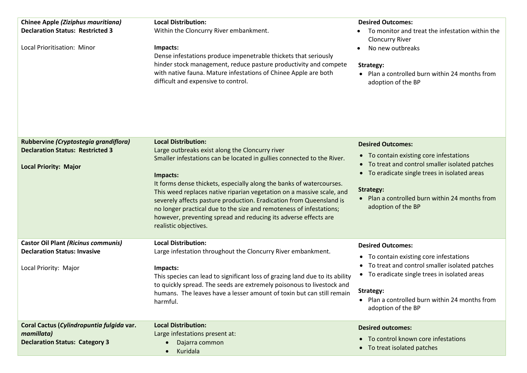| <b>Chinee Apple (Ziziphus mauritiana)</b><br><b>Declaration Status: Restricted 3</b><br>Local Prioritisation: Minor | <b>Local Distribution:</b><br>Within the Cloncurry River embankment.<br>Impacts:<br>Dense infestations produce impenetrable thickets that seriously<br>hinder stock management, reduce pasture productivity and compete<br>with native fauna. Mature infestations of Chinee Apple are both<br>difficult and expensive to control.                                                                                                                                                                                                                              | <b>Desired Outcomes:</b><br>To monitor and treat the infestation within the<br><b>Cloncurry River</b><br>No new outbreaks<br>Strategy:<br>• Plan a controlled burn within 24 months from<br>adoption of the BP                                                                     |
|---------------------------------------------------------------------------------------------------------------------|----------------------------------------------------------------------------------------------------------------------------------------------------------------------------------------------------------------------------------------------------------------------------------------------------------------------------------------------------------------------------------------------------------------------------------------------------------------------------------------------------------------------------------------------------------------|------------------------------------------------------------------------------------------------------------------------------------------------------------------------------------------------------------------------------------------------------------------------------------|
| Rubbervine (Cryptostegia grandiflora)<br><b>Declaration Status: Restricted 3</b><br><b>Local Priority: Major</b>    | <b>Local Distribution:</b><br>Large outbreaks exist along the Cloncurry river<br>Smaller infestations can be located in gullies connected to the River.<br>Impacts:<br>It forms dense thickets, especially along the banks of watercourses.<br>This weed replaces native riparian vegetation on a massive scale, and<br>severely affects pasture production. Eradication from Queensland is<br>no longer practical due to the size and remoteness of infestations;<br>however, preventing spread and reducing its adverse effects are<br>realistic objectives. | <b>Desired Outcomes:</b><br>• To contain existing core infestations<br>• To treat and control smaller isolated patches<br>To eradicate single trees in isolated areas<br>$\bullet$<br><b>Strategy:</b><br>• Plan a controlled burn within 24 months from<br>adoption of the BP     |
| <b>Castor Oil Plant (Ricinus communis)</b><br><b>Declaration Status: Invasive</b><br>Local Priority: Major          | <b>Local Distribution:</b><br>Large infestation throughout the Cloncurry River embankment.<br>Impacts:<br>This species can lead to significant loss of grazing land due to its ability<br>to quickly spread. The seeds are extremely poisonous to livestock and<br>humans. The leaves have a lesser amount of toxin but can still remain<br>harmful.                                                                                                                                                                                                           | <b>Desired Outcomes:</b><br>• To contain existing core infestations<br>• To treat and control smaller isolated patches<br>To eradicate single trees in isolated areas<br>$\bullet$<br>Strategy:<br>Plan a controlled burn within 24 months from<br>$\bullet$<br>adoption of the BP |
| Coral Cactus (Cylindropuntia fulgida var.<br>mamillata)<br><b>Declaration Status: Category 3</b>                    | <b>Local Distribution:</b><br>Large infestations present at:<br>Dajarra common<br>Kuridala                                                                                                                                                                                                                                                                                                                                                                                                                                                                     | <b>Desired outcomes:</b><br>• To control known core infestations<br>• To treat isolated patches                                                                                                                                                                                    |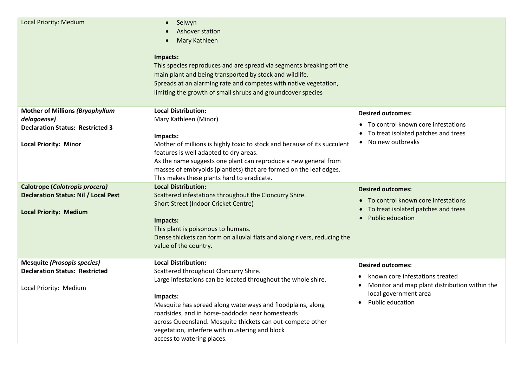| <b>Local Priority: Medium</b>                                                                                                    | Selwyn<br>Ashover station<br>Mary Kathleen<br>$\bullet$<br>Impacts:<br>This species reproduces and are spread via segments breaking off the<br>main plant and being transported by stock and wildlife.<br>Spreads at an alarming rate and competes with native vegetation,<br>limiting the growth of small shrubs and groundcover species                                                                        |                                                                                                                                                                        |
|----------------------------------------------------------------------------------------------------------------------------------|------------------------------------------------------------------------------------------------------------------------------------------------------------------------------------------------------------------------------------------------------------------------------------------------------------------------------------------------------------------------------------------------------------------|------------------------------------------------------------------------------------------------------------------------------------------------------------------------|
| <b>Mother of Millions (Bryophyllum</b><br>delagoense)<br><b>Declaration Status: Restricted 3</b><br><b>Local Priority: Minor</b> | <b>Local Distribution:</b><br>Mary Kathleen (Minor)<br>Impacts:<br>Mother of millions is highly toxic to stock and because of its succulent<br>features is well adapted to dry areas.<br>As the name suggests one plant can reproduce a new general from<br>masses of embryoids (plantlets) that are formed on the leaf edges.<br>This makes these plants hard to eradicate.                                     | <b>Desired outcomes:</b><br>• To control known core infestations<br>• To treat isolated patches and trees<br>• No new outbreaks                                        |
| Calotrope (Calotropis procera)<br><b>Declaration Status: Nil / Local Pest</b><br><b>Local Priority: Medium</b>                   | <b>Local Distribution:</b><br>Scattered infestations throughout the Cloncurry Shire.<br><b>Short Street (Indoor Cricket Centre)</b><br>Impacts:<br>This plant is poisonous to humans.<br>Dense thickets can form on alluvial flats and along rivers, reducing the<br>value of the country.                                                                                                                       | <b>Desired outcomes:</b><br>• To control known core infestations<br>• To treat isolated patches and trees<br>• Public education                                        |
| <b>Mesquite (Prosopis species)</b><br><b>Declaration Status: Restricted</b><br>Local Priority: Medium                            | <b>Local Distribution:</b><br>Scattered throughout Cloncurry Shire.<br>Large infestations can be located throughout the whole shire.<br>Impacts:<br>Mesquite has spread along waterways and floodplains, along<br>roadsides, and in horse-paddocks near homesteads<br>across Queensland. Mesquite thickets can out-compete other<br>vegetation, interfere with mustering and block<br>access to watering places. | <b>Desired outcomes:</b><br>known core infestations treated<br>Monitor and map plant distribution within the<br>local government area<br>Public education<br>$\bullet$ |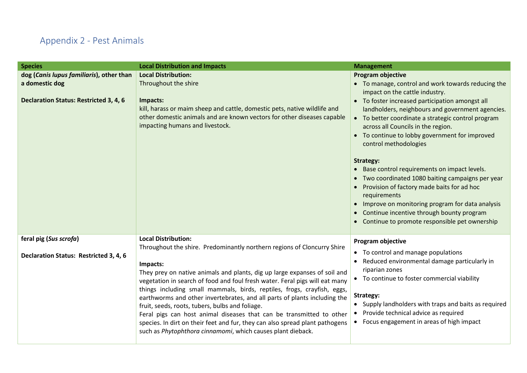## Appendix 2 - Pest Animals

<span id="page-13-0"></span>

| <b>Species</b>                                                          | <b>Local Distribution and Impacts</b>                                                                                                                                                                                                                                                                                                                                                                                                                                                                                                                                                                                                                                                                           | <b>Management</b>                                                                                                                                                                                                                                                                                                                                                                                                                                                                                                                                                                                                  |
|-------------------------------------------------------------------------|-----------------------------------------------------------------------------------------------------------------------------------------------------------------------------------------------------------------------------------------------------------------------------------------------------------------------------------------------------------------------------------------------------------------------------------------------------------------------------------------------------------------------------------------------------------------------------------------------------------------------------------------------------------------------------------------------------------------|--------------------------------------------------------------------------------------------------------------------------------------------------------------------------------------------------------------------------------------------------------------------------------------------------------------------------------------------------------------------------------------------------------------------------------------------------------------------------------------------------------------------------------------------------------------------------------------------------------------------|
| dog (Canis lupus familiaris), other than                                | <b>Local Distribution:</b>                                                                                                                                                                                                                                                                                                                                                                                                                                                                                                                                                                                                                                                                                      | <b>Program objective</b>                                                                                                                                                                                                                                                                                                                                                                                                                                                                                                                                                                                           |
| a domestic dog                                                          | Throughout the shire                                                                                                                                                                                                                                                                                                                                                                                                                                                                                                                                                                                                                                                                                            | • To manage, control and work towards reducing the<br>impact on the cattle industry.                                                                                                                                                                                                                                                                                                                                                                                                                                                                                                                               |
| <b>Declaration Status: Restricted 3, 4, 6</b>                           | Impacts:<br>kill, harass or maim sheep and cattle, domestic pets, native wildlife and<br>other domestic animals and are known vectors for other diseases capable<br>impacting humans and livestock.                                                                                                                                                                                                                                                                                                                                                                                                                                                                                                             | • To foster increased participation amongst all<br>landholders, neighbours and government agencies.<br>• To better coordinate a strategic control program<br>across all Councils in the region.<br>• To continue to lobby government for improved<br>control methodologies<br>Strategy:<br>• Base control requirements on impact levels.<br>• Two coordinated 1080 baiting campaigns per year<br>• Provision of factory made baits for ad hoc<br>requirements<br>• Improve on monitoring program for data analysis<br>• Continue incentive through bounty program<br>Continue to promote responsible pet ownership |
| feral pig (Sus scrofa)<br><b>Declaration Status: Restricted 3, 4, 6</b> | <b>Local Distribution:</b><br>Throughout the shire. Predominantly northern regions of Cloncurry Shire<br>Impacts:<br>They prey on native animals and plants, dig up large expanses of soil and<br>vegetation in search of food and foul fresh water. Feral pigs will eat many<br>things including small mammals, birds, reptiles, frogs, crayfish, eggs,<br>earthworms and other invertebrates, and all parts of plants including the<br>fruit, seeds, roots, tubers, bulbs and foliage.<br>Feral pigs can host animal diseases that can be transmitted to other<br>species. In dirt on their feet and fur, they can also spread plant pathogens<br>such as Phytophthora cinnamomi, which causes plant dieback. | Program objective<br>• To control and manage populations<br>• Reduced environmental damage particularly in<br>riparian zones<br>• To continue to foster commercial viability<br>Strategy:<br>• Supply landholders with traps and baits as required<br>• Provide technical advice as required<br>• Focus engagement in areas of high impact                                                                                                                                                                                                                                                                         |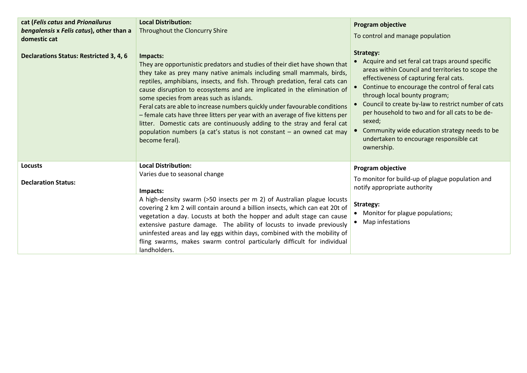| cat (Felis catus and Prionailurus<br>bengalensis x Felis catus), other than a<br>domestic cat | <b>Local Distribution:</b><br>Throughout the Cloncurry Shire                                                                                                                                                                                                                                                                                                                                                                                                                                                                                                                                                                                                                                                | <b>Program objective</b><br>To control and manage population                                                                                                                                                                                                                                                                                                                                                                                                                    |
|-----------------------------------------------------------------------------------------------|-------------------------------------------------------------------------------------------------------------------------------------------------------------------------------------------------------------------------------------------------------------------------------------------------------------------------------------------------------------------------------------------------------------------------------------------------------------------------------------------------------------------------------------------------------------------------------------------------------------------------------------------------------------------------------------------------------------|---------------------------------------------------------------------------------------------------------------------------------------------------------------------------------------------------------------------------------------------------------------------------------------------------------------------------------------------------------------------------------------------------------------------------------------------------------------------------------|
| <b>Declarations Status: Restricted 3, 4, 6</b>                                                | Impacts:<br>They are opportunistic predators and studies of their diet have shown that<br>they take as prey many native animals including small mammals, birds,<br>reptiles, amphibians, insects, and fish. Through predation, feral cats can<br>cause disruption to ecosystems and are implicated in the elimination of<br>some species from areas such as islands.<br>Feral cats are able to increase numbers quickly under favourable conditions<br>- female cats have three litters per year with an average of five kittens per<br>litter. Domestic cats are continuously adding to the stray and feral cat<br>population numbers (a cat's status is not constant - an owned cat may<br>become feral). | Strategy:<br>• Acquire and set feral cat traps around specific<br>areas within Council and territories to scope the<br>effectiveness of capturing feral cats.<br>Continue to encourage the control of feral cats<br>through local bounty program;<br>Council to create by-law to restrict number of cats<br>per household to two and for all cats to be de-<br>sexed;<br>Community wide education strategy needs to be<br>undertaken to encourage responsible cat<br>ownership. |
| <b>Locusts</b><br><b>Declaration Status:</b>                                                  | <b>Local Distribution:</b><br>Varies due to seasonal change<br>Impacts:<br>A high-density swarm (>50 insects per m 2) of Australian plague locusts<br>covering 2 km 2 will contain around a billion insects, which can eat 20t of<br>vegetation a day. Locusts at both the hopper and adult stage can cause<br>extensive pasture damage. The ability of locusts to invade previously<br>uninfested areas and lay eggs within days, combined with the mobility of<br>fling swarms, makes swarm control particularly difficult for individual<br>landholders.                                                                                                                                                 | Program objective<br>To monitor for build-up of plague population and<br>notify appropriate authority<br>Strategy:<br>• Monitor for plague populations;<br>Map infestations                                                                                                                                                                                                                                                                                                     |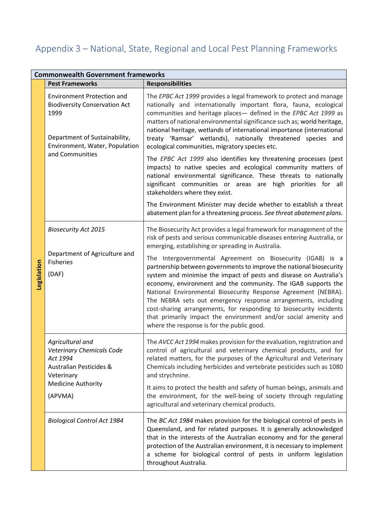# <span id="page-15-0"></span>Appendix 3 – National, State, Regional and Local Pest Planning Frameworks

|             | <b>Commonwealth Government frameworks</b>                                                                                                                               |                                                                                                                                                                                                                                                                                                                                                                                                                                                                                                                                                                                                                                                                                                                                                                                                           |  |
|-------------|-------------------------------------------------------------------------------------------------------------------------------------------------------------------------|-----------------------------------------------------------------------------------------------------------------------------------------------------------------------------------------------------------------------------------------------------------------------------------------------------------------------------------------------------------------------------------------------------------------------------------------------------------------------------------------------------------------------------------------------------------------------------------------------------------------------------------------------------------------------------------------------------------------------------------------------------------------------------------------------------------|--|
|             | <b>Pest Frameworks</b>                                                                                                                                                  | <b>Responsibilities</b>                                                                                                                                                                                                                                                                                                                                                                                                                                                                                                                                                                                                                                                                                                                                                                                   |  |
| Legislation | <b>Environment Protection and</b><br><b>Biodiversity Conservation Act</b><br>1999<br>Department of Sustainability,<br>Environment, Water, Population<br>and Communities | The EPBC Act 1999 provides a legal framework to protect and manage<br>nationally and internationally important flora, fauna, ecological<br>communities and heritage places- defined in the EPBC Act 1999 as<br>matters of national environmental significance such as; world heritage,<br>national heritage, wetlands of international importance (international<br>treaty 'Ramsar' wetlands), nationally threatened species and<br>ecological communities, migratory species etc.                                                                                                                                                                                                                                                                                                                        |  |
|             |                                                                                                                                                                         | The EPBC Act 1999 also identifies key threatening processes (pest<br>impacts) to native species and ecological community matters of<br>national environmental significance. These threats to nationally<br>significant communities or areas are high priorities for all<br>stakeholders where they exist.                                                                                                                                                                                                                                                                                                                                                                                                                                                                                                 |  |
|             |                                                                                                                                                                         | The Environment Minister may decide whether to establish a threat<br>abatement plan for a threatening process. See threat abatement plans.                                                                                                                                                                                                                                                                                                                                                                                                                                                                                                                                                                                                                                                                |  |
|             | <b>Biosecurity Act 2015</b><br>Department of Agriculture and<br><b>Fisheries</b><br>(DAF)                                                                               | The Biosecurity Act provides a legal framework for management of the<br>risk of pests and serious communicable diseases entering Australia, or<br>emerging, establishing or spreading in Australia.<br>The Intergovernmental Agreement on Biosecurity (IGAB) is a<br>partnership between governments to improve the national biosecurity<br>system and minimise the impact of pests and disease on Australia's<br>economy, environment and the community. The IGAB supports the<br>National Environmental Biosecurity Response Agreement (NEBRA).<br>The NEBRA sets out emergency response arrangements, including<br>cost-sharing arrangements, for responding to biosecurity incidents<br>that primarily impact the environment and/or social amenity and<br>where the response is for the public good. |  |
|             | Agricultural and<br><b>Veterinary Chemicals Code</b><br>Act 1994<br><b>Australian Pesticides &amp;</b><br>Veterinary<br><b>Medicine Authority</b>                       | The AVCC Act 1994 makes provision for the evaluation, registration and<br>control of agricultural and veterinary chemical products, and for<br>related matters, for the purposes of the Agricultural and Veterinary<br>Chemicals including herbicides and vertebrate pesticides such as 1080<br>and strychnine.<br>It aims to protect the health and safety of human beings, animals and                                                                                                                                                                                                                                                                                                                                                                                                                  |  |
|             | (APVMA)                                                                                                                                                                 | the environment, for the well-being of society through regulating<br>agricultural and veterinary chemical products.                                                                                                                                                                                                                                                                                                                                                                                                                                                                                                                                                                                                                                                                                       |  |
|             | <b>Biological Control Act 1984</b>                                                                                                                                      | The BC Act 1984 makes provision for the biological control of pests in<br>Queensland, and for related purposes. It is generally acknowledged<br>that in the interests of the Australian economy and for the general<br>protection of the Australian environment, it is necessary to implement<br>a scheme for biological control of pests in uniform legislation<br>throughout Australia.                                                                                                                                                                                                                                                                                                                                                                                                                 |  |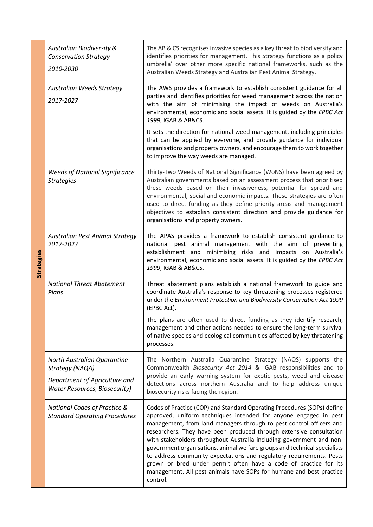| <b>Strategies</b> | Australian Biodiversity &<br><b>Conservation Strategy</b><br>2010-2030                                                  | The AB & CS recognises invasive species as a key threat to biodiversity and<br>identifies priorities for management. This Strategy functions as a policy<br>umbrella' over other more specific national frameworks, such as the<br>Australian Weeds Strategy and Australian Pest Animal Strategy.                                                                                                                                                                                                                                                                                                                                                                             |
|-------------------|-------------------------------------------------------------------------------------------------------------------------|-------------------------------------------------------------------------------------------------------------------------------------------------------------------------------------------------------------------------------------------------------------------------------------------------------------------------------------------------------------------------------------------------------------------------------------------------------------------------------------------------------------------------------------------------------------------------------------------------------------------------------------------------------------------------------|
|                   | <b>Australian Weeds Strategy</b><br>2017-2027                                                                           | The AWS provides a framework to establish consistent guidance for all<br>parties and identifies priorities for weed management across the nation<br>with the aim of minimising the impact of weeds on Australia's<br>environmental, economic and social assets. It is guided by the EPBC Act<br>1999, IGAB & AB&CS.<br>It sets the direction for national weed management, including principles<br>that can be applied by everyone, and provide guidance for individual<br>organisations and property owners, and encourage them to work together                                                                                                                             |
|                   | <b>Weeds of National Significance</b><br><b>Strategies</b>                                                              | to improve the way weeds are managed.<br>Thirty-Two Weeds of National Significance (WoNS) have been agreed by<br>Australian governments based on an assessment process that prioritised<br>these weeds based on their invasiveness, potential for spread and<br>environmental, social and economic impacts. These strategies are often<br>used to direct funding as they define priority areas and management<br>objectives to establish consistent direction and provide guidance for<br>organisations and property owners.                                                                                                                                                  |
|                   | Australian Pest Animal Strategy<br>2017-2027                                                                            | The APAS provides a framework to establish consistent guidance to<br>national pest animal management with the aim of preventing<br>establishment and minimising risks and impacts on Australia's<br>environmental, economic and social assets. It is guided by the EPBC Act<br>1999, IGAB & AB&CS.                                                                                                                                                                                                                                                                                                                                                                            |
|                   | <b>National Threat Abatement</b><br>Plans                                                                               | Threat abatement plans establish a national framework to guide and<br>coordinate Australia's response to key threatening processes registered<br>under the Environment Protection and Biodiversity Conservation Act 1999<br>(EPBC Act).<br>The plans are often used to direct funding as they identify research,<br>management and other actions needed to ensure the long-term survival<br>of native species and ecological communities affected by key threatening                                                                                                                                                                                                          |
|                   | North Australian Quarantine<br>Strategy (NAQA)<br>Department of Agriculture and<br><b>Water Resources, Biosecurity)</b> | processes.<br>The Northern Australia Quarantine Strategy (NAQS) supports the<br>Commonwealth Biosecurity Act 2014 & IGAB responsibilities and to<br>provide an early warning system for exotic pests, weed and disease<br>detections across northern Australia and to help address unique<br>biosecurity risks facing the region.                                                                                                                                                                                                                                                                                                                                             |
|                   | National Codes of Practice &<br><b>Standard Operating Procedures</b>                                                    | Codes of Practice (COP) and Standard Operating Procedures (SOPs) define<br>approved, uniform techniques intended for anyone engaged in pest<br>management, from land managers through to pest control officers and<br>researchers. They have been produced through extensive consultation<br>with stakeholders throughout Australia including government and non-<br>government organisations, animal welfare groups and technical specialists<br>to address community expectations and regulatory requirements. Pests<br>grown or bred under permit often have a code of practice for its<br>management. All pest animals have SOPs for humane and best practice<br>control. |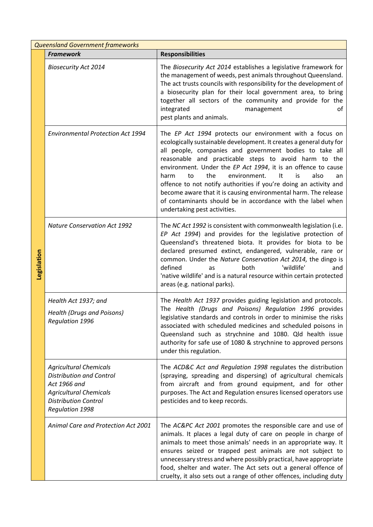|             | <b>Queensland Government frameworks</b>                                                                                                                                    |                                                                                                                                                                                                                                                                                                                                                                                                                                                                                                                                                                                                                            |  |  |
|-------------|----------------------------------------------------------------------------------------------------------------------------------------------------------------------------|----------------------------------------------------------------------------------------------------------------------------------------------------------------------------------------------------------------------------------------------------------------------------------------------------------------------------------------------------------------------------------------------------------------------------------------------------------------------------------------------------------------------------------------------------------------------------------------------------------------------------|--|--|
|             | <b>Framework</b>                                                                                                                                                           | <b>Responsibilities</b>                                                                                                                                                                                                                                                                                                                                                                                                                                                                                                                                                                                                    |  |  |
| Legislation | <b>Biosecurity Act 2014</b>                                                                                                                                                | The Biosecurity Act 2014 establishes a legislative framework for<br>the management of weeds, pest animals throughout Queensland.<br>The act trusts councils with responsibility for the development of<br>a biosecurity plan for their local government area, to bring<br>together all sectors of the community and provide for the<br>integrated<br>management<br>οf<br>pest plants and animals.                                                                                                                                                                                                                          |  |  |
|             | <b>Environmental Protection Act 1994</b>                                                                                                                                   | The EP Act 1994 protects our environment with a focus on<br>ecologically sustainable development. It creates a general duty for<br>all people, companies and government bodies to take all<br>reasonable and practicable steps to avoid harm to the<br>environment. Under the EP Act 1994, it is an offence to cause<br>the<br>environment.<br>It<br>is<br>also<br>harm<br>to<br>an<br>offence to not notify authorities if you're doing an activity and<br>become aware that it is causing environmental harm. The release<br>of contaminants should be in accordance with the label when<br>undertaking pest activities. |  |  |
|             | <b>Nature Conservation Act 1992</b>                                                                                                                                        | The NC Act 1992 is consistent with commonwealth legislation (i.e.<br>EP Act 1994) and provides for the legislative protection of<br>Queensland's threatened biota. It provides for biota to be<br>declared presumed extinct, endangered, vulnerable, rare or<br>common. Under the Nature Conservation Act 2014, the dingo is<br>'wildlife'<br>defined<br>both<br>as<br>and<br>'native wildlife' and is a natural resource within certain protected<br>areas (e.g. national parks).                                                                                                                                         |  |  |
|             | Health Act 1937; and<br><b>Health (Drugs and Poisons)</b><br>Regulation 1996                                                                                               | The Health Act 1937 provides guiding legislation and protocols.<br>The Health (Drugs and Poisons) Regulation 1996 provides<br>legislative standards and controls in order to minimise the risks<br>associated with scheduled medicines and scheduled poisons in<br>Queensland such as strychnine and 1080. Qld health issue<br>authority for safe use of 1080 & strychnine to approved persons<br>under this regulation.                                                                                                                                                                                                   |  |  |
|             | <b>Agricultural Chemicals</b><br><b>Distribution and Control</b><br>Act 1966 and<br><b>Agricultural Chemicals</b><br><b>Distribution Control</b><br><b>Regulation 1998</b> | The ACD&C Act and Regulation 1998 regulates the distribution<br>(spraying, spreading and dispersing) of agricultural chemicals<br>from aircraft and from ground equipment, and for other<br>purposes. The Act and Regulation ensures licensed operators use<br>pesticides and to keep records.                                                                                                                                                                                                                                                                                                                             |  |  |
|             | Animal Care and Protection Act 2001                                                                                                                                        | The AC&PC Act 2001 promotes the responsible care and use of<br>animals. It places a legal duty of care on people in charge of<br>animals to meet those animals' needs in an appropriate way. It<br>ensures seized or trapped pest animals are not subject to<br>unnecessary stress and where possibly practical, have appropriate<br>food, shelter and water. The Act sets out a general offence of<br>cruelty, it also sets out a range of other offences, including duty                                                                                                                                                 |  |  |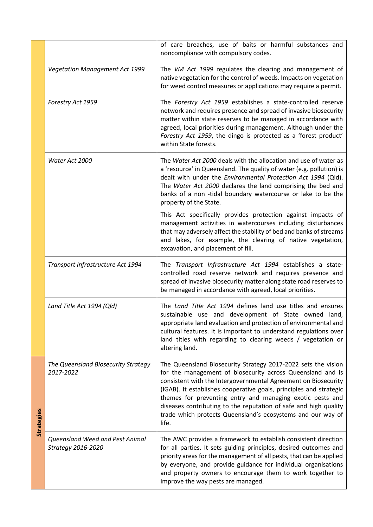|            |                                                       | of care breaches, use of baits or harmful substances and<br>noncompliance with compulsory codes.                                                                                                                                                                                                                                                                                                                                                                             |
|------------|-------------------------------------------------------|------------------------------------------------------------------------------------------------------------------------------------------------------------------------------------------------------------------------------------------------------------------------------------------------------------------------------------------------------------------------------------------------------------------------------------------------------------------------------|
|            | <b>Vegetation Management Act 1999</b>                 | The VM Act 1999 regulates the clearing and management of<br>native vegetation for the control of weeds. Impacts on vegetation<br>for weed control measures or applications may require a permit.                                                                                                                                                                                                                                                                             |
|            | Forestry Act 1959                                     | The Forestry Act 1959 establishes a state-controlled reserve<br>network and requires presence and spread of invasive biosecurity<br>matter within state reserves to be managed in accordance with<br>agreed, local priorities during management. Although under the<br>Forestry Act 1959, the dingo is protected as a 'forest product'<br>within State forests.                                                                                                              |
|            | Water Act 2000                                        | The Water Act 2000 deals with the allocation and use of water as<br>a 'resource' in Queensland. The quality of water (e.g. pollution) is<br>dealt with under the Environmental Protection Act 1994 (Qld).<br>The Water Act 2000 declares the land comprising the bed and<br>banks of a non -tidal boundary watercourse or lake to be the<br>property of the State.                                                                                                           |
|            |                                                       | This Act specifically provides protection against impacts of<br>management activities in watercourses including disturbances<br>that may adversely affect the stability of bed and banks of streams<br>and lakes, for example, the clearing of native vegetation,<br>excavation, and placement of fill.                                                                                                                                                                      |
|            | Transport Infrastructure Act 1994                     | The Transport Infrastructure Act 1994 establishes a state-<br>controlled road reserve network and requires presence and<br>spread of invasive biosecurity matter along state road reserves to<br>be managed in accordance with agreed, local priorities.                                                                                                                                                                                                                     |
|            | Land Title Act 1994 (Qld)                             | The Land Title Act 1994 defines land use titles and ensures<br>sustainable use and development of State owned land,<br>appropriate land evaluation and protection of environmental and<br>cultural features. It is important to understand regulations over<br>land titles with regarding to clearing weeds / vegetation or<br>altering land.                                                                                                                                |
| Strategies | The Queensland Biosecurity Strategy<br>2017-2022      | The Queensland Biosecurity Strategy 2017-2022 sets the vision<br>for the management of biosecurity across Queensland and is<br>consistent with the Intergovernmental Agreement on Biosecurity<br>(IGAB). It establishes cooperative goals, principles and strategic<br>themes for preventing entry and managing exotic pests and<br>diseases contributing to the reputation of safe and high quality<br>trade which protects Queensland's ecosystems and our way of<br>life. |
|            | Queensland Weed and Pest Animal<br>Strategy 2016-2020 | The AWC provides a framework to establish consistent direction<br>for all parties. It sets guiding principles, desired outcomes and<br>priority areas for the management of all pests, that can be applied<br>by everyone, and provide guidance for individual organisations<br>and property owners to encourage them to work together to<br>improve the way pests are managed.                                                                                              |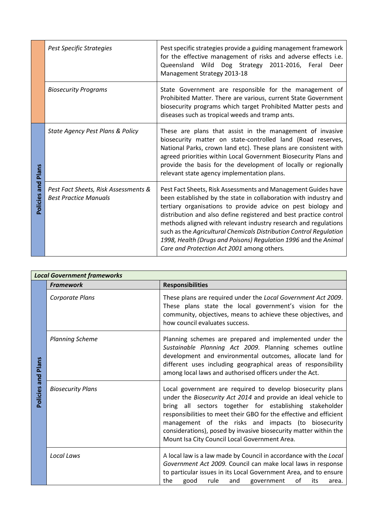|                              | <b>Pest Specific Strategies</b>                                      | Pest specific strategies provide a guiding management framework<br>for the effective management of risks and adverse effects i.e.<br>Queensland Wild Dog Strategy 2011-2016, Feral<br>Deer<br>Management Strategy 2013-18                                                                                                                                                                                                                                                                                                        |
|------------------------------|----------------------------------------------------------------------|----------------------------------------------------------------------------------------------------------------------------------------------------------------------------------------------------------------------------------------------------------------------------------------------------------------------------------------------------------------------------------------------------------------------------------------------------------------------------------------------------------------------------------|
|                              | <b>Biosecurity Programs</b>                                          | State Government are responsible for the management of<br>Prohibited Matter. There are various, current State Government<br>biosecurity programs which target Prohibited Matter pests and<br>diseases such as tropical weeds and tramp ants.                                                                                                                                                                                                                                                                                     |
| <b>Plans</b><br>Policies and | State Agency Pest Plans & Policy                                     | These are plans that assist in the management of invasive<br>biosecurity matter on state-controlled land (Road reserves,<br>National Parks, crown land etc). These plans are consistent with<br>agreed priorities within Local Government Biosecurity Plans and<br>provide the basis for the development of locally or regionally<br>relevant state agency implementation plans.                                                                                                                                                 |
|                              | Pest Fact Sheets, Risk Assessments &<br><b>Best Practice Manuals</b> | Pest Fact Sheets, Risk Assessments and Management Guides have<br>been established by the state in collaboration with industry and<br>tertiary organisations to provide advice on pest biology and<br>distribution and also define registered and best practice control<br>methods aligned with relevant industry research and regulations<br>such as the Agricultural Chemicals Distribution Control Regulation<br>1998, Health (Drugs and Poisons) Regulation 1996 and the Animal<br>Care and Protection Act 2001 among others. |

| <b>Local Government frameworks</b> |                          |                                                                                                                                                                                                                                                                                                                                                                                                                                           |
|------------------------------------|--------------------------|-------------------------------------------------------------------------------------------------------------------------------------------------------------------------------------------------------------------------------------------------------------------------------------------------------------------------------------------------------------------------------------------------------------------------------------------|
|                                    | <b>Framework</b>         | <b>Responsibilities</b>                                                                                                                                                                                                                                                                                                                                                                                                                   |
| Policies and Plans                 | Corporate Plans          | These plans are required under the Local Government Act 2009.<br>These plans state the local government's vision for the<br>community, objectives, means to achieve these objectives, and<br>how council evaluates success.                                                                                                                                                                                                               |
|                                    | <b>Planning Scheme</b>   | Planning schemes are prepared and implemented under the<br>Sustainable Planning Act 2009. Planning schemes outline<br>development and environmental outcomes, allocate land for<br>different uses including geographical areas of responsibility<br>among local laws and authorised officers under the Act.                                                                                                                               |
|                                    | <b>Biosecurity Plans</b> | Local government are required to develop biosecurity plans<br>under the Biosecurity Act 2014 and provide an ideal vehicle to<br>bring all sectors together for establishing stakeholder<br>responsibilities to meet their GBO for the effective and efficient<br>management of the risks and impacts (to biosecurity<br>considerations), posed by invasive biosecurity matter within the<br>Mount Isa City Council Local Government Area. |
|                                    | Local Laws               | A local law is a law made by Council in accordance with the Local<br>Government Act 2009. Council can make local laws in response<br>to particular issues in its Local Government Area, and to ensure<br>the<br>rule<br>good<br>government<br>οf<br>and<br>its<br>area.                                                                                                                                                                   |